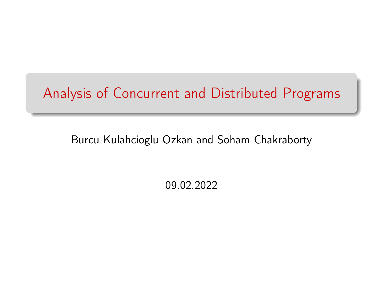## Analysis of Concurrent and Distributed Programs

### Burcu Kulahcioglu Ozkan and Soham Chakraborty

09.02.2022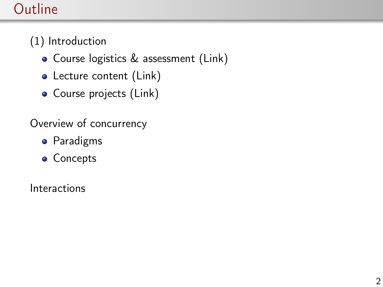## **Outline**

- (1) Introduction
	- Course logistics & assessment [\(Link\)](https://studiegids.tudelft.nl/a101_displayCourse.do?course_id=60097)
	- Lecture content [\(Link\)](https://cs4405.github.io)
	- Course projects [\(Link\)](https://cs4405.github.io)

Overview of concurrency

- **•** Paradigms
- Concepts

Interactions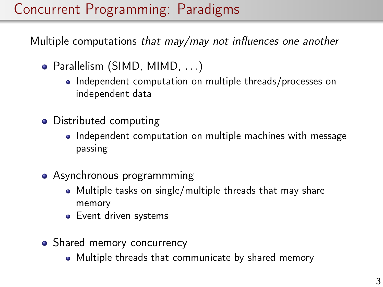## Concurrent Programming: Paradigms

Multiple computations that may/may not influences one another

- Parallelism (SIMD, MIMD, . . .)
	- Independent computation on multiple threads/processes on independent data
- Distributed computing
	- Independent computation on multiple machines with message passing
- Asynchronous programmming
	- Multiple tasks on single/multiple threads that may share memory
	- **•** Event driven systems
- Shared memory concurrency
	- Multiple threads that communicate by shared memory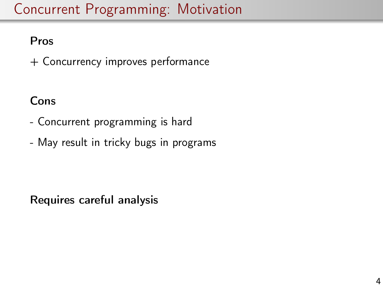## Concurrent Programming: Motivation

### Pros

+ Concurrency improves performance

### Cons

- Concurrent programming is hard
- May result in tricky bugs in programs

Requires careful analysis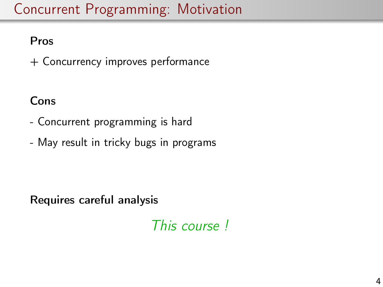## Concurrent Programming: Motivation

### Pros

+ Concurrency improves performance

### Cons

- Concurrent programming is hard
- May result in tricky bugs in programs

Requires careful analysis

This course !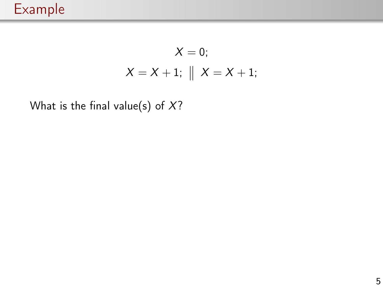$$
X = 0;
$$
  

$$
X = X + 1; \parallel X = X + 1;
$$

What is the final value(s) of  $X$ ?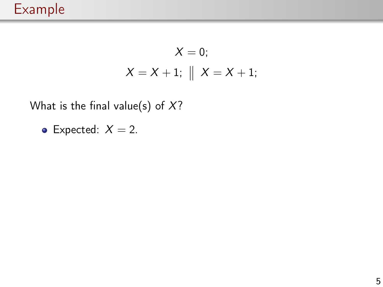$$
X = 0;
$$
  

$$
X = X + 1; \parallel X = X + 1;
$$

What is the final value(s) of  $X$ ?

• Expected:  $X = 2$ .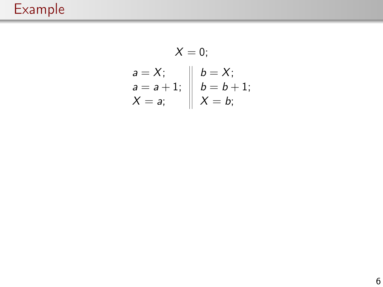## Example

$$
X = 0;
$$
  
\n
$$
a = X;
$$
  
\n
$$
a = a + 1;
$$
  
\n
$$
X = a;
$$
  
\n
$$
A = b + 1;
$$
  
\n
$$
X = b;
$$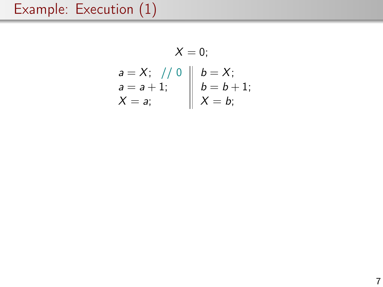$$
X = 0;
$$
  
\n $a = X;$  // 0  
\n $a = a + 1;$   
\n $A = a;$   
\n $A = b;$   
\n $A = b;$   
\n $A = b;$   
\n $A = b;$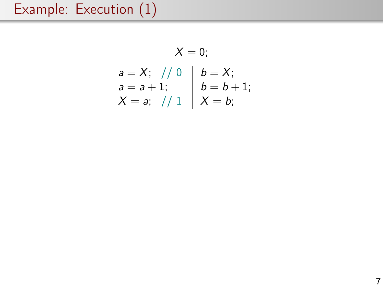$$
X = 0;
$$
  
\n $a = X;$  // 0  $\| b = X;$   
\n $a = a + 1;$   $\| b = b + 1;$   
\n $X = a;$  // 1  $\| X = b;$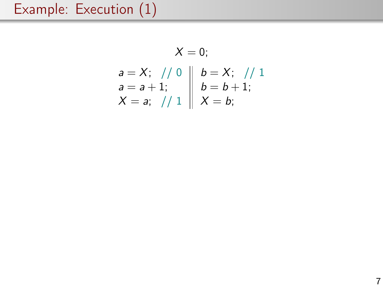$$
X = 0;
$$
  
\n $a = X;$  // 0  
\n $a = a + 1;$   
\n $X = a;$  // 1  
\n $X = b;$   
\n $X = b;$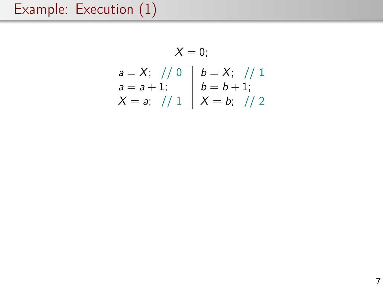$$
X = 0;
$$
  
\n
$$
a = X; \quad // \quad 0 \quad b = X; \quad // \quad 1
$$
  
\n
$$
a = a + 1; \quad b = b + 1; \quad X = a; \quad // \quad 1 \quad X = b; \quad // \quad 2
$$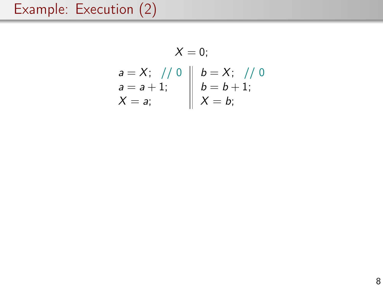$$
X = 0;
$$
\n
$$
a = X; \quad // \quad 0 \quad b = X; \quad // \quad 0
$$
\n
$$
a = a + 1; \quad b = b + 1;
$$
\n
$$
X = a; \quad X = b;
$$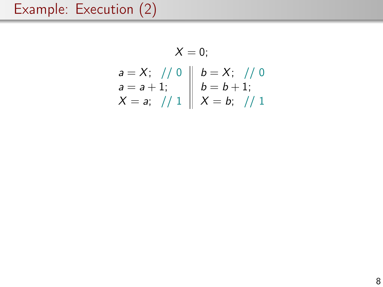$$
X = 0;
$$
  
\n
$$
a = X; / / 0
$$
  
\n
$$
a = a + 1; / 1
$$
  
\n
$$
x = a; / / 1
$$
  
\n
$$
x = b; / / 1
$$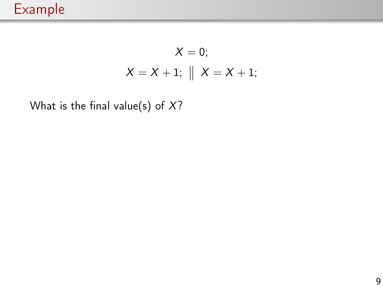$$
X = 0;
$$
  

$$
X = X + 1; \parallel X = X + 1;
$$

What is the final value(s) of  $X$ ?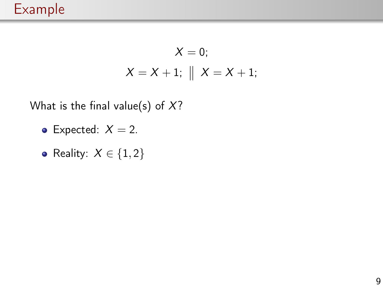$$
X = 0;
$$
  

$$
X = X + 1; \parallel X = X + 1;
$$

What is the final value(s) of  $X$ ?

- Expected:  $X = 2$ .
- Reality:  $X \in \{1, 2\}$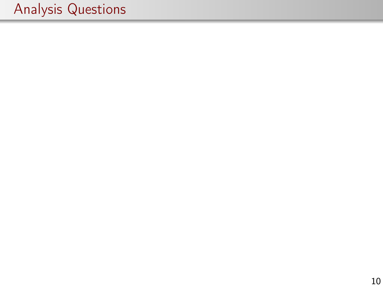# Analysis Questions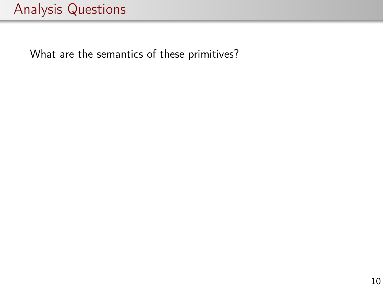## Analysis Questions

What are the semantics of these primitives?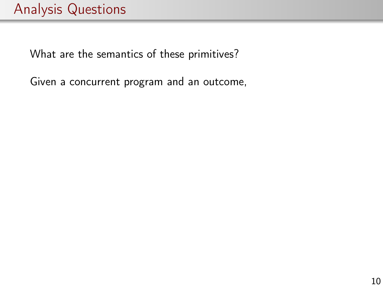What are the semantics of these primitives?

Given a concurrent program and an outcome,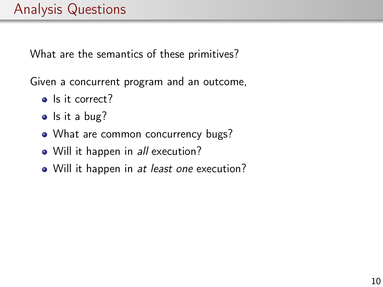What are the semantics of these primitives?

Given a concurrent program and an outcome,

- Is it correct?
- $\bullet$  Is it a bug?
- What are common concurrency bugs?
- Will it happen in *all* execution?
- Will it happen in *at least one* execution?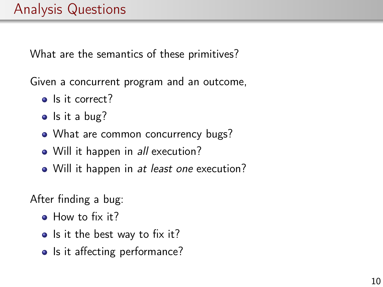What are the semantics of these primitives?

Given a concurrent program and an outcome,

- Is it correct?
- $\bullet$  Is it a bug?
- What are common concurrency bugs?
- Will it happen in *all* execution?
- Will it happen in *at least one* execution?

After finding a bug:

- How to fix it?
- Is it the best way to fix it?
- Is it affecting performance?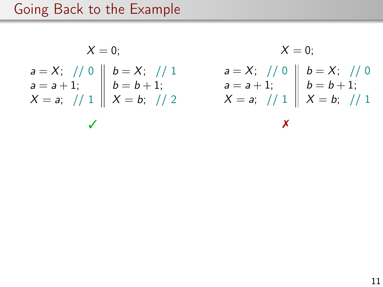## Going Back to the Example

$$
X = 0;
$$
\n
$$
a = X; \quad // \quad 0 \quad b = X; \quad // \quad 1
$$
\n
$$
a = a + 1; \quad b = b + 1; \quad a = a + 1; \quad b = b + 1; \quad a = a + 1; \quad b = b + 1; \quad X = a; \quad // \quad 1 \quad X = b; \quad // \quad 2
$$
\n
$$
X = 0;
$$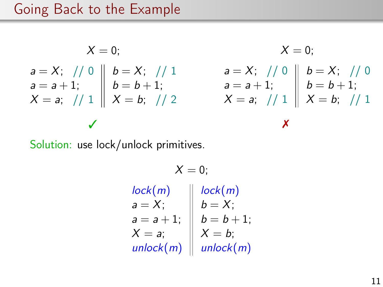### Going Back to the Example

$$
X = 0;
$$
\n
$$
a = X; \quad // \quad 0 \quad b = X; \quad // \quad 1
$$
\n
$$
a = a + 1; \quad b = b + 1; \quad a = a + 1; \quad b = b + 1; \quad x = a; \quad // \quad 1 \quad X = b; \quad // \quad 2
$$
\n
$$
x = a; \quad // \quad 1 \quad X = b; \quad // \quad 2 \quad X = a; \quad // \quad 1 \quad X = b; \quad // \quad 1 \quad X = b; \quad // \quad 2 \quad X = a; \quad // \quad 3 \quad X = b; \quad // \quad 3 \quad X = b; \quad // \quad 4 \quad X = b; \quad // \quad 5 \quad X = b; \quad // \quad 6 \quad X = b; \quad // \quad 7 \quad X = b; \quad // \quad 8 \quad X = b; \quad // \quad 8 \quad X = b; \quad // \quad 9 \quad X = b; \quad // \quad 1 \quad X = b; \quad // \quad 1 \quad X = b; \quad // \quad 1 \quad X = b; \quad // \quad 1 \quad X = b; \quad // \quad 1 \quad X = b; \quad // \quad 1 \quad X = b; \quad // \quad 2 \quad X = a; \quad // \quad 3 \quad X = b; \quad // \quad 3 \quad X = b; \quad // \quad 1 \quad X = b; \quad // \quad 3 \quad X = b; \quad // \quad 1 \quad X = b; \quad // \quad 3 \quad X = b; \quad // \quad 1 \quad X = b; \quad // \quad 1 \quad X = b; \quad // \quad 2 \quad X = b; \quad // \quad 3 \quad X = b; \quad // \quad 3 \quad X = b; \quad // \quad 3 \quad X = b; \quad // \quad 4 \quad X = b; \quad // \quad 5 \quad X = b; \quad // \quad 6 \quad X = b; \quad // \quad 1 \quad X = b; \quad // \quad 1 \quad X = b; \quad // \quad 1 \quad X = b; \quad // \quad 1 \quad X = b; \quad // \quad 2 \quad X = b; \quad // \quad 3 \quad X = b; \quad // \quad 3 \quad X = b; \quad // \quad 3 \quad X = b; \quad // \quad 3 \quad X = b; \quad // \quad 3 \quad X = b; \quad // \quad 1 \quad X = b; \quad // \quad 2 \quad X = b; \quad // \quad 3 \quad X = b;
$$

Solution: use lock/unlock primitives.

 $X = 0$ ; lock(m)  $a = X;$  $a = a + 1;$  $X = a$ ; unlock(m) lock(m)  $b = X;$  $b = b + 1;$  $X = b$ ; unlock(m)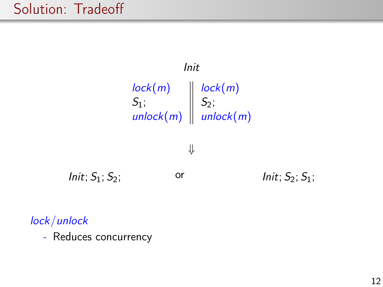### Solution: Tradeoff



#### lock/unlock

- Reduces concurrency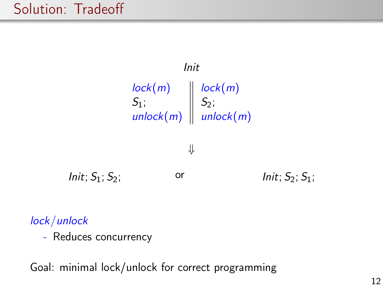### Solution: Tradeoff



#### lock/unlock

- Reduces concurrency

Goal: minimal lock/unlock for correct programming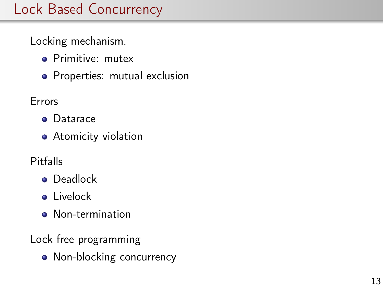## Lock Based Concurrency

Locking mechanism.

- **•** Primitive: mutex
- Properties: mutual exclusion

Errors

- **•** Datarace
- **•** Atomicity violation
- Pitfalls
	- **•** Deadlock
	- **o** Livelock
	- **O** Non-termination
- Lock free programming
	- Non-blocking concurrency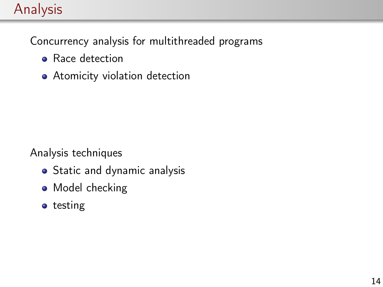## Analysis

Concurrency analysis for multithreaded programs

- Race detection
- Atomicity violation detection

Analysis techniques

- Static and dynamic analysis
- Model checking
- **o** testing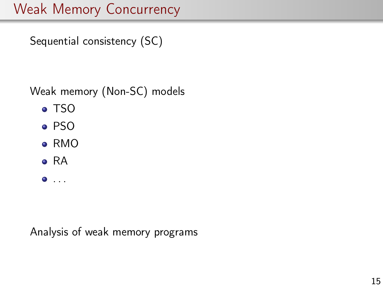## Weak Memory Concurrency

Sequential consistency (SC)

Weak memory (Non-SC) models

- TSO
- PSO
- RMO
- RA
- $\bullet$  . . . .

Analysis of weak memory programs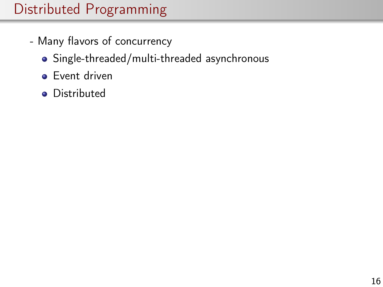- Many flavors of concurrency
	- Single-threaded/multi-threaded asynchronous
	- **•** Event driven
	- **•** Distributed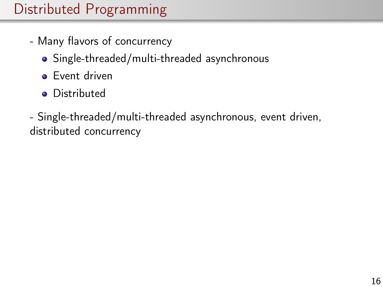- Many flavors of concurrency
	- Single-threaded/multi-threaded asynchronous
	- **•** Event driven
	- Distributed

- Single-threaded/multi-threaded asynchronous, event driven, distributed concurrency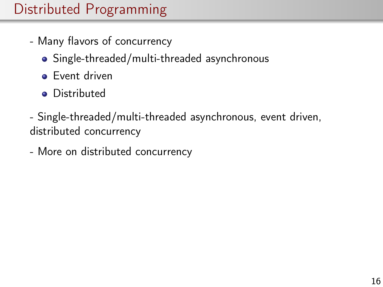- Many flavors of concurrency
	- Single-threaded/multi-threaded asynchronous
	- **•** Event driven
	- Distributed
- Single-threaded/multi-threaded asynchronous, event driven, distributed concurrency
- More on distributed concurrency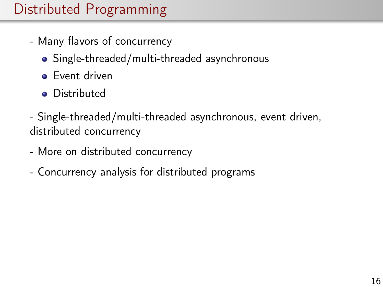- Many flavors of concurrency
	- Single-threaded/multi-threaded asynchronous
	- **•** Event driven
	- **•** Distributed
- Single-threaded/multi-threaded asynchronous, event driven, distributed concurrency
- More on distributed concurrency
- Concurrency analysis for distributed programs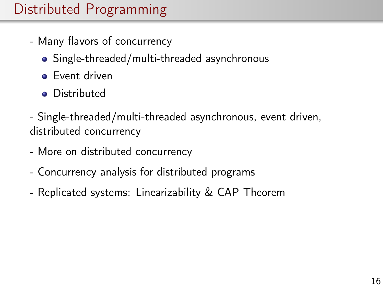- Many flavors of concurrency
	- Single-threaded/multi-threaded asynchronous
	- **•** Event driven
	- **•** Distributed
- Single-threaded/multi-threaded asynchronous, event driven, distributed concurrency
- More on distributed concurrency
- Concurrency analysis for distributed programs
- Replicated systems: Linearizability & CAP Theorem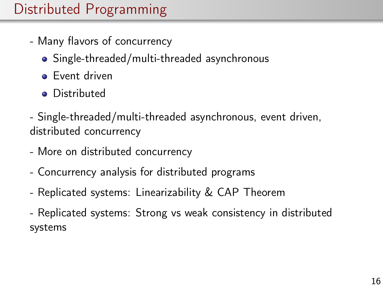- Many flavors of concurrency
	- Single-threaded/multi-threaded asynchronous
	- **•** Event driven
	- **•** Distributed
- Single-threaded/multi-threaded asynchronous, event driven, distributed concurrency
- More on distributed concurrency
- Concurrency analysis for distributed programs
- Replicated systems: Linearizability & CAP Theorem
- Replicated systems: Strong vs weak consistency in distributed systems